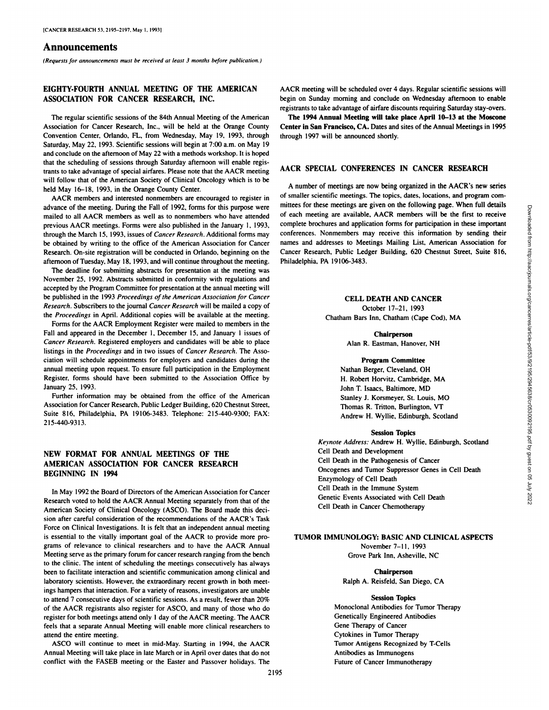# **Announcements**

*(Requests for announcements must be received at least 3 months before publication.)*

# **EIGHTY-FOURTH ANNUAL MEETING OF THE AMERICAN ASSOCIATIONFOR CANCER RESEARCH,INC.**

The regular scientific sessions of the 84th Annual Meeting of the American Association for Cancer Research, Inc., will be held at the Orange County Convention Center. Orlando, FL. from Wednesday, May 19, 1993, through Saturday, May 22. 1993. Scientific sessions will begin at 7:00 a.m. on May 19 and conclude on the afternoon of May 22 with a methods workshop. It is hoped that the scheduling of sessions through Saturday afternoon will enable regis trants to take advantage of special airfares. Please note that the AACR meeting will follow that of the American Society of Clinical Oncology which is to be held May 16-18, 1993, in the Orange County Center.

AACR members and interested nonmembers are encouraged to register in advance of the meeting. During the Fall of 1992. forms for this purpose were mailed to all AACR members as well as to nonmembers who have attended previous AACR meetings. Forms were also published in the January 1, 1993, through the March 15, 1993, issues of Cancer Research. Additional forms may be obtained by writing to the office of the American Association for Cancer Research. On-site registration will be conducted in Orlando, beginning on the afternoon of Tuesday. May 18. 1993. and will continue throughout the meeting.

The deadline for submitting abstracts for presentation at the meeting was November 25. 1992. Abstracts submitted in conformity with regulations and accepted by the Program Committee for presentation at the annual meeting will be published in the 1993 Proceedings of the American Association for Cancer *Research. Subscribers to the journal Cancer Research will be mailed a copy of* the Proceedings in April. Additional copies will be available at the meeting.

Forms for the AACR Employment Register were mailed to members in the Fall and appeared in the December 1, December 15, and January 1 issues of *Cancer Research. Registered employers and candidates will be able to place* listings in the Proceedings and in two issues of Cancer Research. The Asso ciation will schedule appointments for employers and candidates during the annual meeting upon request. To ensure full participation in the Employment Register, forms should have been submitted to the Association Office by January 25, 1993.

Further information may be obtained from the office of the American Association for Cancer Research. Public Ledger Building. 620 Chestnut Street. Suite 816, Philadelphia. PA 19106-3483. Telephone: 215-440-9300; FAX: 215-440-9313.

# **NEW FORMAT FOR ANNUAL MEETINGS OF THE AMERICAN ASSOCIATION FOR CANCER RESEARCH BEGINNING** IN 1994

In May 1992 the Board of Directors of the American Association for Cancer Research voted to hold the AACR Annual Meeting separately from that of the American Society of Clinical Oncology (ASCO). The Board made this deci sion after careful consideration of the recommendations of the AACR's Task Force on Clinical Investigations. It is felt that an independent annual meeting is essential to the vitally important goal of the AACR to provide more pro grams of relevance to clinical researchers and to have the AACR Annual Meeting serve as the primary forum for cancer research ranging from the bench to the clinic. The intent of scheduling the meetings consecutively has always been to facilitate interaction and scientific communication among clinical and laboratory scientists. However, the extraordinary recent growth in both meet ings hampers that interaction. For a variety of reasons, investigators are unable to attend 7 consecutive days of scientific sessions. As a result, fewer than  $20\%$ of the AACR registrants also register for ASCO, and many of those who do register for both meetings attend only 1 day of the AACR meeting. The AACR feels that a separate Annual Meeting will enable more clinical researchers to attend the entire meeting.

ASCO will continue to meet in mid-May. Starting in 1994. the AACR Annual Meeting will take place in late March or in April over dates that do notconflict with the FASEB meeting or the Easter and Passover holidays. The AACR meeting will be scheduled over 4 days. Regular scientific sessions will begin on Sunday morning and conclude on Wednesday afternoon to enable registrants to take advantage of airfare discounts requiring Saturday stay-overs.

The 1994 Annual Meeting will take place April 10-13 at the Moscone Center in San Francisco, CA. Dates and sites of the Annual Meetings in 1995 through 1997 will be announced shortly.

## **AACR SPECIALCONFERENCESIN CANCER RESEARCH**

A number of meetings are now being organized in the AACR's new series of smaller scientific meetings. The topics, dates, locations, and program com mittees for these meetings are given on the following page. When full details of each meeting are given on the notions appear when the trace is concerned application forms for participation in these important<br>conferences. Nommentes may receive this information in these important<br>anses and addresses complete brochures and application forms for participation in these important conferences. Nonmembers may receive this information by sending their names and addresses to Meetings Mailing List. American Association for Cancer Research. Public Ledger Building, 620 Chestnut Street. Suite 816, Philadelphia, PA 19106-3483.

CELL DEATH AND CANCER October 17-21, 1993 Chatham Bars Inn. Chatham (Cape Cod). MA

> Chairperson Alan R. Eastman, Hanover, NH

#### Program Committee

Nathan Berger, Cleveland. OH H. Robert Horvitz, Cambridge, MA John T. Isaacs, Baltimore. MD Stanley J. Korsmeyer. St. Louis. MO Thomas R. Tritton. Burlington. VT Andrew H. Wyllie. Edinburgh, Scotland

#### Session Topics

*Keynote Address: Andrew H. Wyllie, Edinburgh. Scotland* Cell Death and Development Cell Death in the Pathogenesis of Cancer Oncogenes and Tumor Suppressor Genes in Cell Death Enzymology of Cell Death Cell Death in the Immune System Genetic Events Associated with Cell Death Cell Death in Cancer Chemotherapy

# TUMOR IMMUNOLOGY: BASIC AND CLINICAL ASPECTS

November 7-11. 1993 Grove Park Inn, Asheville, NC

Chairperson Ralph A. Reisfeld. San Diego, CA

#### Session Topics

Monoclonal Antibodies for Tumor Therapy Genetically Engineered Antibodies Gene Therapy of Cancer Cytokines in Tumor Therapy Tumor Antigens Recognized by T-Cells Antibodies as Immunogens Future of Cancer Immunotherapy